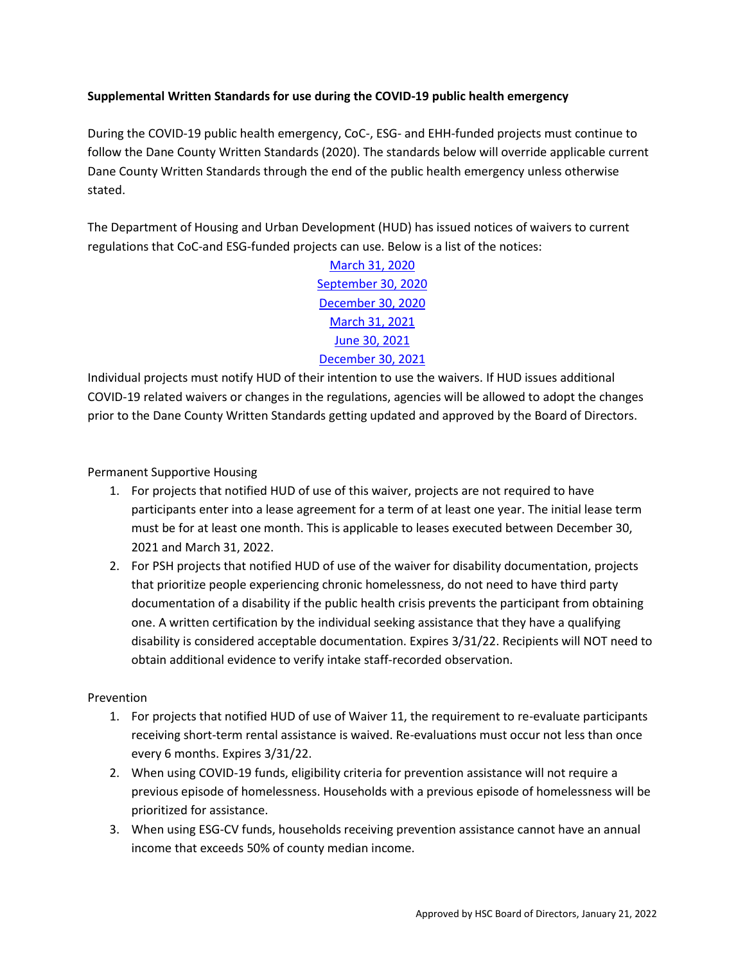# **Supplemental Written Standards for use during the COVID-19 public health emergency**

During the COVID-19 public health emergency, CoC-, ESG- and EHH-funded projects must continue to follow the Dane County Written Standards (2020). The standards below will override applicable current Dane County Written Standards through the end of the public health emergency unless otherwise stated.

The Department of Housing and Urban Development (HUD) has issued notices of waivers to current regulations that CoC-and ESG-funded projects can use. Below is a list of the notices:

> [March 31, 2020](https://www.hud.gov/sites/dfiles/CPD/documents/Availability-of-Waivers-of-CPD-Grant-Program-and-Consolidated-Plan-Requirements-to-Prevent-the-Spread-of-COVID-19-and-Mitigate-Economic-Impacts-Caused-by-COVID-19.pdf) [September 30, 2020](https://www.hud.gov/sites/dfiles/CPD/documents/CPD-COVID-19-Waiver-3-Final-Clean.pdf) [December 30, 2020](https://www.hud.gov/sites/dfiles/CPD/documents/Waiver-4_CoC-and-YHDP_FINAL.pdf) [March 31, 2021](https://www.hud.gov/sites/dfiles/CPD/documents/DI-7782-MegaWaiver-5-for-CPD_v2-3-26-2021_JAJ_signed.pdf) [June 30, 2021](https://www.hud.gov/sites/dfiles/CPD/documents/signed-2021-MegaWaiver-6_Final.pdf?utm_source=HUD+Exchange+Mailing+List&utm_campaign=6f9f331f4b-CPD_Memo_Avail_Addtl_Waivers_CPD_Prevent_7_1&utm_medium=email&utm_term=0_f32b935a5f-6f9f331f4b-19413677) [December 30, 2021](https://www.hud.gov/sites/dfiles/CPD/documents/Additional_Waivers_CPD_COVID19_December_2021.pdf?utm_source=HUD+Exchange+Mailing+List&utm_campaign=80fc158019-COVID-19-Waivers_12.30.21&utm_medium=email&utm_term=0_f32b935a5f-80fc158019-19413677)

Individual projects must notify HUD of their intention to use the waivers. If HUD issues additional COVID-19 related waivers or changes in the regulations, agencies will be allowed to adopt the changes prior to the Dane County Written Standards getting updated and approved by the Board of Directors.

Permanent Supportive Housing

- 1. For projects that notified HUD of use of this waiver, projects are not required to have participants enter into a lease agreement for a term of at least one year. The initial lease term must be for at least one month. This is applicable to leases executed between December 30, 2021 and March 31, 2022.
- 2. For PSH projects that notified HUD of use of the waiver for disability documentation, projects that prioritize people experiencing chronic homelessness, do not need to have third party documentation of a disability if the public health crisis prevents the participant from obtaining one. A written certification by the individual seeking assistance that they have a qualifying disability is considered acceptable documentation. Expires 3/31/22. Recipients will NOT need to obtain additional evidence to verify intake staff-recorded observation.

### Prevention

- 1. For projects that notified HUD of use of Waiver 11, the requirement to re-evaluate participants receiving short-term rental assistance is waived. Re-evaluations must occur not less than once every 6 months. Expires 3/31/22.
- 2. When using COVID-19 funds, eligibility criteria for prevention assistance will not require a previous episode of homelessness. Households with a previous episode of homelessness will be prioritized for assistance.
- 3. When using ESG-CV funds, households receiving prevention assistance cannot have an annual income that exceeds 50% of county median income.